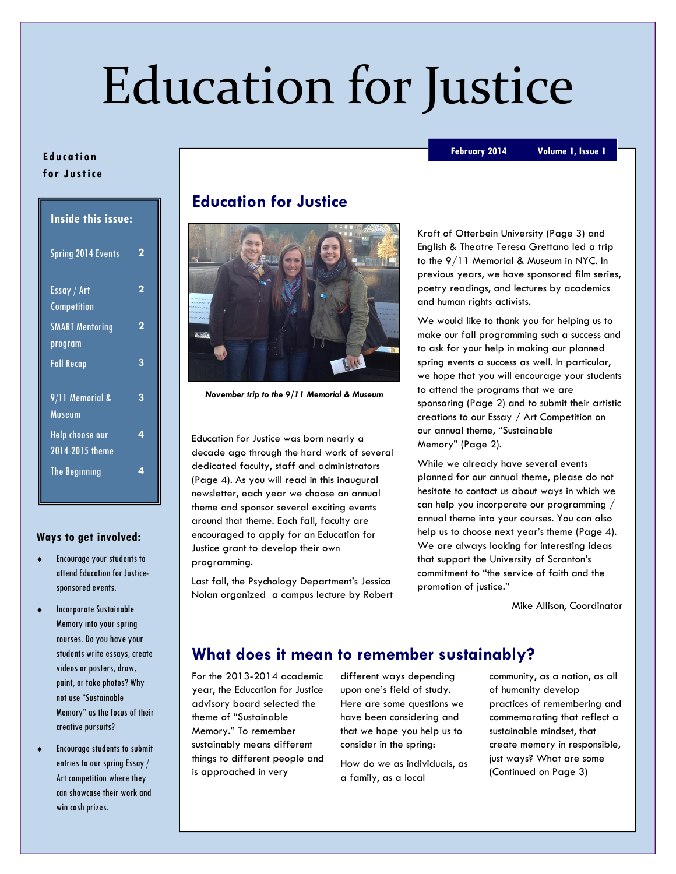# Education for Justice

#### Ed uca tion for Justice

| <b>Inside this issue:</b>                |   |
|------------------------------------------|---|
| <b>Spring 2014 Events</b>                | 2 |
| Essay / Art<br>Competition               | 2 |
| <b>SMART Mentoring</b><br><u>program</u> | 2 |
| <b>Fall Recap</b>                        | 3 |
| 9/11 Memorial &<br>Museum                | 3 |
| Help choose our<br>2014-2015 theme       | 4 |
| <b>The Beginning</b>                     | 4 |

#### Ways to get involved:

- Encourage your students to attend Education for Justicesponsored events.
- Incorporate Sustainable Memory into your spring courses. Do you have your students write essays, create videos or posters, draw, paint, or take photos? Why not use "Sustainable Memory" as the focus of their creative pursuits?
- Encourage students to submit entries to our spring Essay / Art competition where they can showcase their work and win cash prizes.

# Education for Justice



November trip to the 9/11 Memorial & Museum

Education for Justice was born nearly a decade ago through the hard work of several dedicated faculty, staff and administrators (Page 4). As you will read in this inaugural newsletter, each year we choose an annual theme and sponsor several exciting events around that theme. Each fall, faculty are encouraged to apply for an Education for Justice grant to develop their own programming.

Last fall, the Psychology Department's Jessica Nolan organized a campus lecture by Robert Kraft of Otterbein University (Page 3) and English & Theatre Teresa Grettano led a trip to the 9/11 Memorial & Museum in NYC. In previous years, we have sponsored film series, poetry readings, and lectures by academics and human rights activists.

We would like to thank you for helping us to make our fall programming such a success and to ask for your help in making our planned spring events a success as well. In particular, we hope that you will encourage your students to attend the programs that we are sponsoring (Page 2) and to submit their artistic creations to our Essay / Art Competition on our annual theme, "Sustainable Memory" (Page 2).

While we already have several events planned for our annual theme, please do not hesitate to contact us about ways in which we can help you incorporate our programming / annual theme into your courses. You can also help us to choose next year's theme (Page 4). We are always looking for interesting ideas that support the University of Scranton's commitment to "the service of faith and the promotion of justice."

Mike Allison, Coordinator

# What does it mean to remember sustainably?

For the 2013-2014 academic year, the Education for Justice advisory board selected the theme of "Sustainable Memory." To remember sustainably means different things to different people and is approached in very

different ways depending upon one's field of study. Here are some questions we have been considering and that we hope you help us to consider in the spring:

How do we as individuals, as a family, as a local

community, as a nation, as all of humanity develop practices of remembering and commemorating that reflect a sustainable mindset, that create memory in responsible, just ways? What are some (Continued on Page 3)

#### February 2014 Volume 1, Issue 1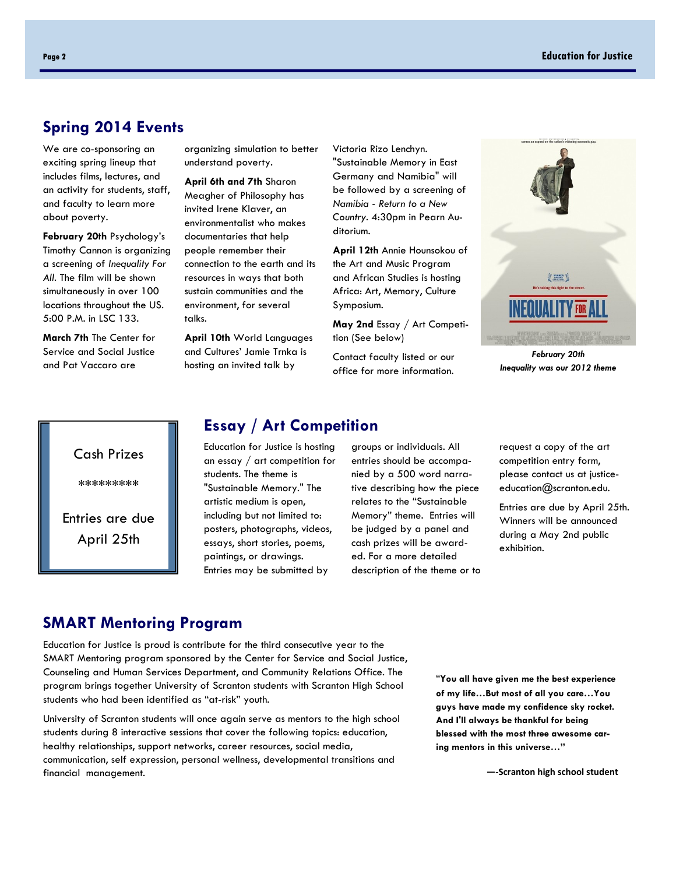### Spring 2014 Events

We are co-sponsoring an exciting spring lineup that includes films, lectures, and an activity for students, staff, and faculty to learn more about poverty.

February 20th Psychology's Timothy Cannon is organizing a screening of Inequality For All. The film will be shown simultaneously in over 100 locations throughout the US. 5:00 P.M. in LSC 133.

March 7th The Center for Service and Social Justice and Pat Vaccaro are

organizing simulation to better understand poverty.

April 6th and 7th Sharon Meagher of Philosophy has invited Irene Klaver, an environmentalist who makes documentaries that help people remember their connection to the earth and its resources in ways that both sustain communities and the environment, for several talks.

April 10th World Languages and Cultures' Jamie Trnka is hosting an invited talk by

Victoria Rizo Lenchyn. "Sustainable Memory in East Germany and Namibia" will be followed by a screening of Namibia - Return to a New Country. 4:30pm in Pearn Auditorium.

April 12th Annie Hounsokou of the Art and Music Program and African Studies is hosting Africa: Art, Memory, Culture Symposium.

May 2nd Essay / Art Competition (See below)

Contact faculty listed or our office for more information.



February 20th Inequality was our 2012 theme



#### Essay / Art Competition

Education for Justice is hosting an essay / art competition for students. The theme is "Sustainable Memory." The artistic medium is open, including but not limited to: posters, photographs, videos, essays, short stories, poems, paintings, or drawings. Entries may be submitted by

groups or individuals. All entries should be accompanied by a 500 word narrative describing how the piece relates to the "Sustainable Memory" theme. Entries will be judged by a panel and cash prizes will be awarded. For a more detailed description of the theme or to

request a copy of the art competition entry form, please contact us at justiceeducation@scranton.edu.

Entries are due by April 25th. Winners will be announced during a May 2nd public exhibition.

#### SMART Mentoring Program

Education for Justice is proud is contribute for the third consecutive year to the SMART Mentoring program sponsored by the Center for Service and Social Justice, Counseling and Human Services Department, and Community Relations Office. The program brings together University of Scranton students with Scranton High School students who had been identified as "at-risk" youth.

University of Scranton students will once again serve as mentors to the high school students during 8 interactive sessions that cover the following topics: education, healthy relationships, support networks, career resources, social media, communication, self expression, personal wellness, developmental transitions and financial management.

"You all have given me the best experience of my life…But most of all you care…You guys have made my confidence sky rocket. And I'll always be thankful for being blessed with the most three awesome caring mentors in this universe…"

—-Scranton high school student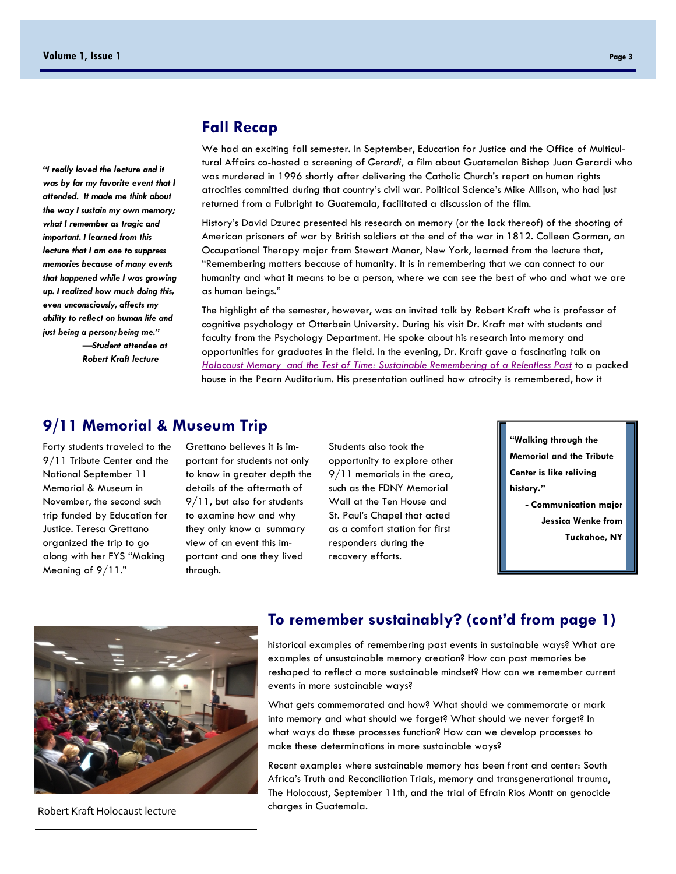"I really loved the lecture and it was by far my favorite event that I attended. It made me think about the way I sustain my own memory; what I remember as tragic and important. I learned from this lecture that I am one to suppress memories because of many events that happened while I was growing up. I realized how much doing this, even unconsciously, affects my ability to reflect on human life and just being a person; being me." —Student attendee at

Robert Kraft lecture

## Fall Recap

We had an exciting fall semester. In September, Education for Justice and the Office of Multicultural Affairs co-hosted a screening of Gerardi, a film about Guatemalan Bishop Juan Gerardi who was murdered in 1996 shortly after delivering the Catholic Church's report on human rights atrocities committed during that country's civil war. Political Science's Mike Allison, who had just returned from a Fulbright to Guatemala, facilitated a discussion of the film.

History's David Dzurec presented his research on memory (or the lack thereof) of the shooting of American prisoners of war by British soldiers at the end of the war in 1812. Colleen Gorman, an Occupational Therapy major from Stewart Manor, New York, learned from the lecture that, "Remembering matters because of humanity. It is in remembering that we can connect to our humanity and what it means to be a person, where we can see the best of who and what we are as human beings."

The highlight of the semester, however, was an invited talk by Robert Kraft who is professor of cognitive psychology at Otterbein University. During his visit Dr. Kraft met with students and faculty from the Psychology Department. He spoke about his research into memory and opportunities for graduates in the field. In the evening, Dr. Kraft gave a fascinating talk on Holocaust Memory and the Test of Time: Sustainable Remembering of a Relentless Past to a packed house in the Pearn Auditorium. His presentation outlined how atrocity is remembered, how it

## 9/11 Memorial & Museum Trip

Forty students traveled to the 9/11 Tribute Center and the National September 11 Memorial & Museum in November, the second such trip funded by Education for Justice. Teresa Grettano organized the trip to go along with her FYS "Making Meaning of 9/11."

Grettano believes it is important for students not only to know in greater depth the details of the aftermath of 9/11, but also for students to examine how and why they only know a summary view of an event this important and one they lived through.

Students also took the opportunity to explore other 9/11 memorials in the area, such as the FDNY Memorial Wall at the Ten House and St. Paul's Chapel that acted as a comfort station for first responders during the recovery efforts.

"Walking through the Memorial and the Tribute Center is like reliving history." - Communication major Jessica Wenke from

Tuckahoe, NY



Robert Kraft Holocaust lecture

### To remember sustainably? (cont'd from page 1)

historical examples of remembering past events in sustainable ways? What are examples of unsustainable memory creation? How can past memories be reshaped to reflect a more sustainable mindset? How can we remember current events in more sustainable ways?

What gets commemorated and how? What should we commemorate or mark into memory and what should we forget? What should we never forget? In what ways do these processes function? How can we develop processes to make these determinations in more sustainable ways?

Recent examples where sustainable memory has been front and center: South Africa's Truth and Reconciliation Trials, memory and transgenerational trauma, The Holocaust, September 11th, and the trial of Efrain Rios Montt on genocide charges in Guatemala.